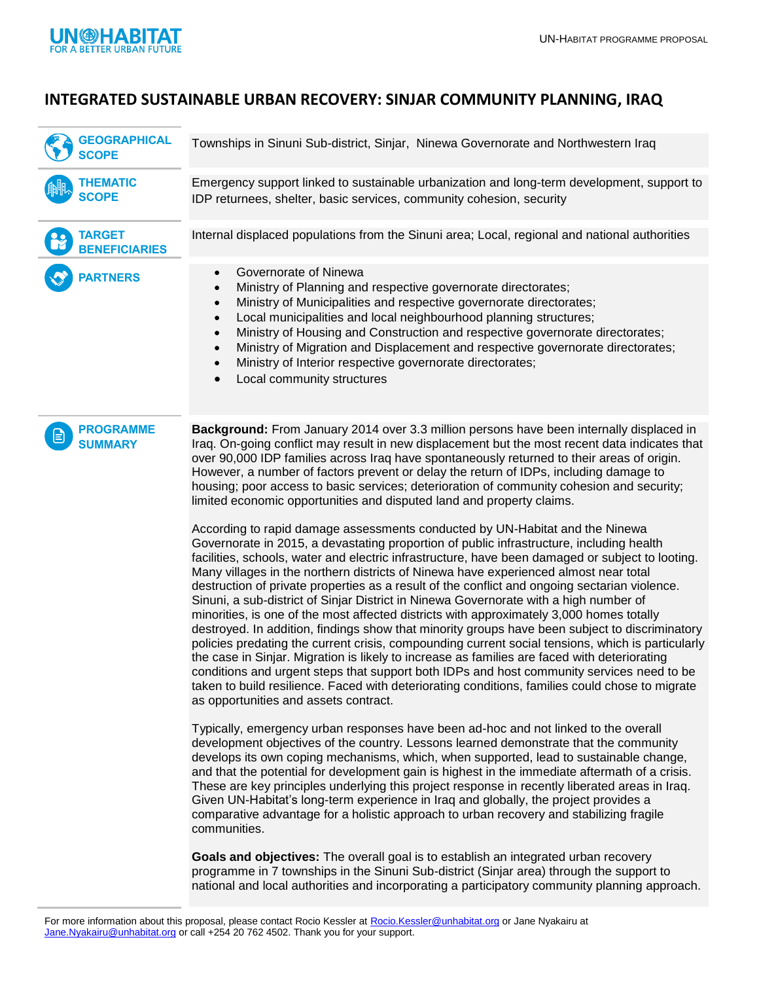

## **INTEGRATED SUSTAINABLE URBAN RECOVERY: SINJAR COMMUNITY PLANNING, IRAQ**

| <b>GEOGRAPHICAL</b><br><b>SCOPE</b>     | Townships in Sinuni Sub-district, Sinjar, Ninewa Governorate and Northwestern Iraq                                                                                                                                                                                                                                                                                                                                                                                                                                                                                                                                                                                                                                                                                                                                                      |
|-----------------------------------------|-----------------------------------------------------------------------------------------------------------------------------------------------------------------------------------------------------------------------------------------------------------------------------------------------------------------------------------------------------------------------------------------------------------------------------------------------------------------------------------------------------------------------------------------------------------------------------------------------------------------------------------------------------------------------------------------------------------------------------------------------------------------------------------------------------------------------------------------|
| <b>THEMATIC</b><br><b>SCOPE</b>         | Emergency support linked to sustainable urbanization and long-term development, support to<br>IDP returnees, shelter, basic services, community cohesion, security                                                                                                                                                                                                                                                                                                                                                                                                                                                                                                                                                                                                                                                                      |
| <b>TARGET</b><br><b>BENEFICIARIES</b>   | Internal displaced populations from the Sinuni area; Local, regional and national authorities                                                                                                                                                                                                                                                                                                                                                                                                                                                                                                                                                                                                                                                                                                                                           |
| <b>PARTNERS</b>                         | Governorate of Ninewa<br>$\bullet$<br>Ministry of Planning and respective governorate directorates;<br>$\bullet$<br>Ministry of Municipalities and respective governorate directorates;<br>$\bullet$<br>Local municipalities and local neighbourhood planning structures;<br>$\bullet$<br>Ministry of Housing and Construction and respective governorate directorates;<br>$\bullet$<br>Ministry of Migration and Displacement and respective governorate directorates;<br>$\bullet$<br>Ministry of Interior respective governorate directorates;<br>$\bullet$<br>Local community structures                                                                                                                                                                                                                                            |
| <b>PROGRAMME</b><br>E<br><b>SUMMARY</b> | Background: From January 2014 over 3.3 million persons have been internally displaced in<br>Iraq. On-going conflict may result in new displacement but the most recent data indicates that<br>over 90,000 IDP families across Iraq have spontaneously returned to their areas of origin.<br>However, a number of factors prevent or delay the return of IDPs, including damage to<br>housing; poor access to basic services; deterioration of community cohesion and security;<br>limited economic opportunities and disputed land and property claims.<br>According to rapid damage assessments conducted by UN-Habitat and the Ninewa<br>Governorate in 2015, a devastating proportion of public infrastructure, including health<br>facilities, schools, water and electric infrastructure, have been damaged or subject to looting. |

Many villages in the northern districts of Ninewa have experienced almost near total destruction of private properties as a result of the conflict and ongoing sectarian violence. Sinuni, a sub-district of Sinjar District in Ninewa Governorate with a high number of minorities, is one of the most affected districts with approximately 3,000 homes totally destroyed. In addition, findings show that minority groups have been subject to discriminatory policies predating the current crisis, compounding current social tensions, which is particularly the case in Sinjar. Migration is likely to increase as families are faced with deteriorating conditions and urgent steps that support both IDPs and host community services need to be taken to build resilience. Faced with deteriorating conditions, families could chose to migrate as opportunities and assets contract.

Typically, emergency urban responses have been ad-hoc and not linked to the overall development objectives of the country. Lessons learned demonstrate that the community develops its own coping mechanisms, which, when supported, lead to sustainable change, and that the potential for development gain is highest in the immediate aftermath of a crisis. These are key principles underlying this project response in recently liberated areas in Iraq. Given UN-Habitat's long-term experience in Iraq and globally, the project provides a comparative advantage for a holistic approach to urban recovery and stabilizing fragile communities.

**Goals and objectives:** The overall goal is to establish an integrated urban recovery programme in 7 townships in the Sinuni Sub-district (Sinjar area) through the support to national and local authorities and incorporating a participatory community planning approach.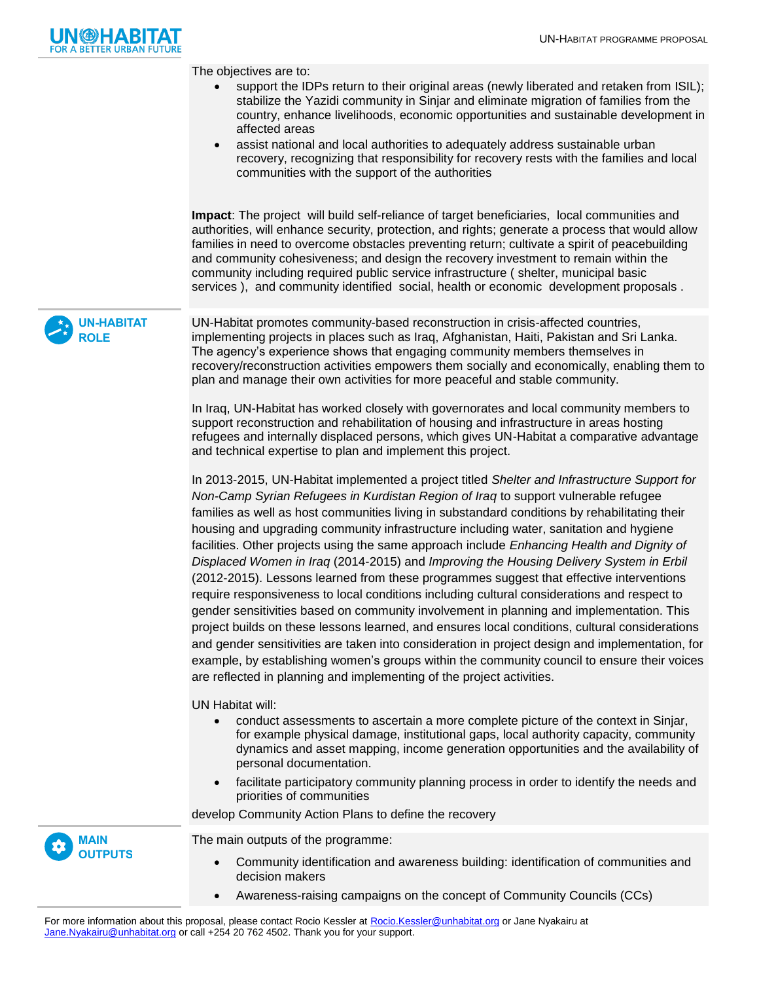

The objectives are to:

- support the IDPs return to their original areas (newly liberated and retaken from ISIL); stabilize the Yazidi community in Sinjar and eliminate migration of families from the country, enhance livelihoods, economic opportunities and sustainable development in affected areas
- assist national and local authorities to adequately address sustainable urban recovery, recognizing that responsibility for recovery rests with the families and local communities with the support of the authorities

**Impact**: The project will build self-reliance of target beneficiaries, local communities and authorities, will enhance security, protection, and rights; generate a process that would allow families in need to overcome obstacles preventing return; cultivate a spirit of peacebuilding and community cohesiveness; and design the recovery investment to remain within the community including required public service infrastructure ( shelter, municipal basic services ), and community identified social, health or economic development proposals .

**UN-HABITAT ROLE**

UN-Habitat promotes community-based reconstruction in crisis-affected countries, implementing projects in places such as Iraq, Afghanistan, Haiti, Pakistan and Sri Lanka. The agency's experience shows that engaging community members themselves in recovery/reconstruction activities empowers them socially and economically, enabling them to plan and manage their own activities for more peaceful and stable community.

In Iraq, UN-Habitat has worked closely with governorates and local community members to support reconstruction and rehabilitation of housing and infrastructure in areas hosting refugees and internally displaced persons, which gives UN-Habitat a comparative advantage and technical expertise to plan and implement this project.

In 2013-2015, UN-Habitat implemented a project titled *Shelter and Infrastructure Support for Non-Camp Syrian Refugees in Kurdistan Region of Iraq* to support vulnerable refugee families as well as host communities living in substandard conditions by rehabilitating their housing and upgrading community infrastructure including water, sanitation and hygiene facilities. Other projects using the same approach include *Enhancing Health and Dignity of Displaced Women in Iraq* (2014-2015) and *Improving the Housing Delivery System in Erbil* (2012-2015). Lessons learned from these programmes suggest that effective interventions require responsiveness to local conditions including cultural considerations and respect to gender sensitivities based on community involvement in planning and implementation. This project builds on these lessons learned, and ensures local conditions, cultural considerations and gender sensitivities are taken into consideration in project design and implementation, for example, by establishing women's groups within the community council to ensure their voices are reflected in planning and implementing of the project activities.

UN Habitat will:

- conduct assessments to ascertain a more complete picture of the context in Sinjar, for example physical damage, institutional gaps, local authority capacity, community dynamics and asset mapping, income generation opportunities and the availability of personal documentation.
- facilitate participatory community planning process in order to identify the needs and priorities of communities

develop Community Action Plans to define the recovery

**MAIN OUTPUTS**

The main outputs of the programme:

- Community identification and awareness building: identification of communities and decision makers
- Awareness-raising campaigns on the concept of Community Councils (CCs)